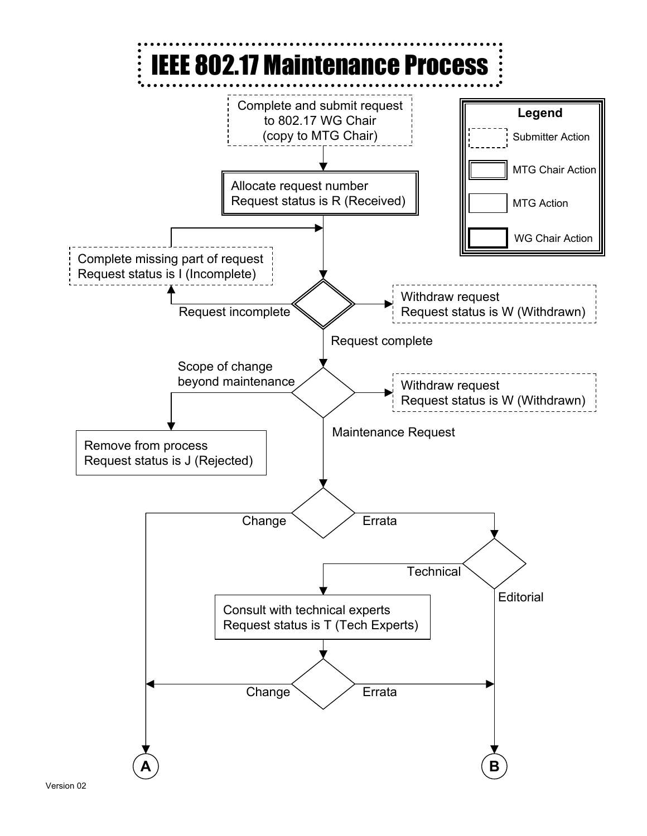

Version 02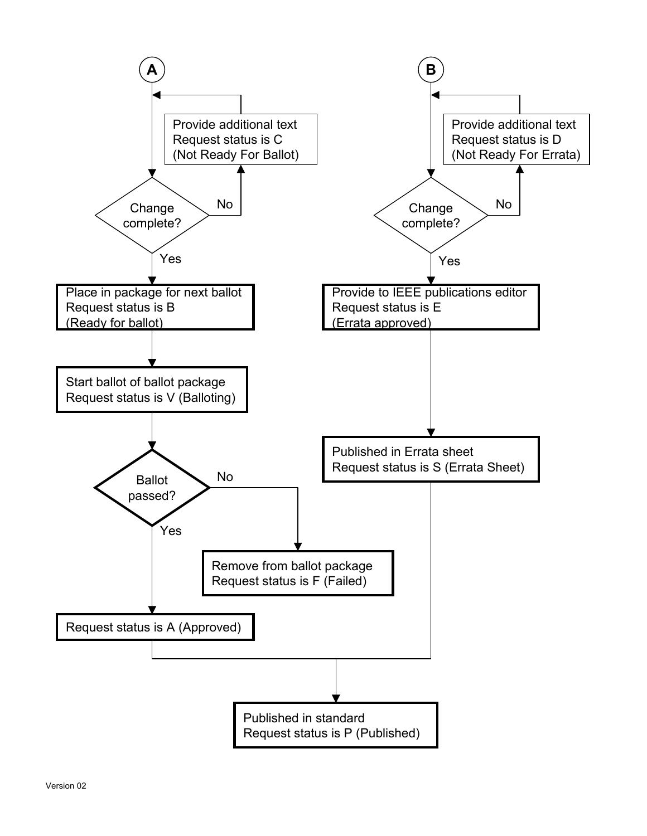